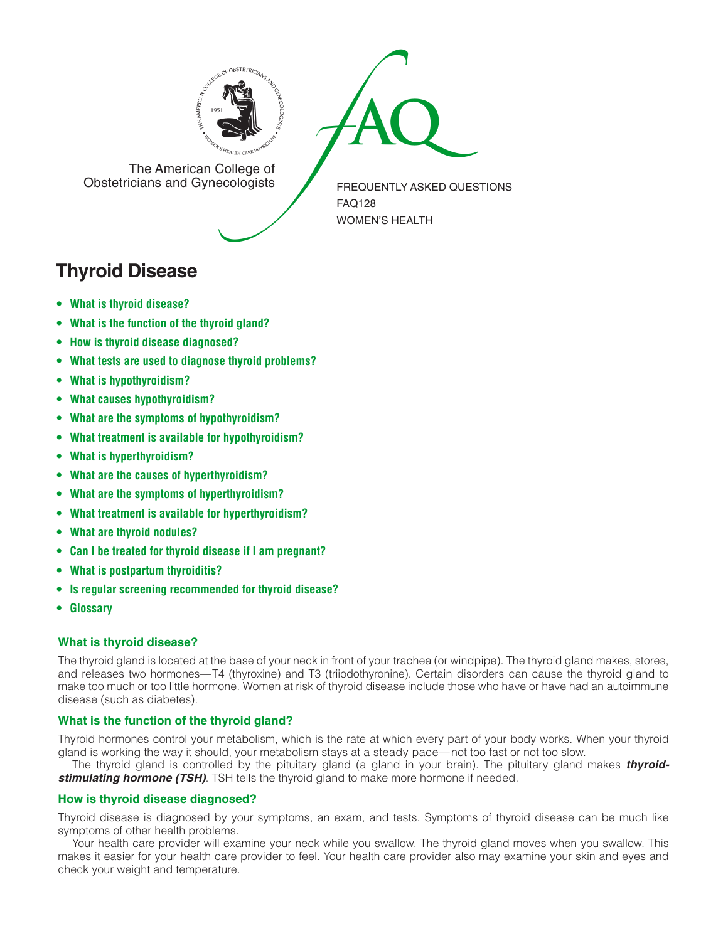



The American College of<br>Obstetricians and Gynecologists

FREQUENTLY ASKED QUESTIONS FAQ128 WOMEN'S HEALTH

# **Thyroid Disease**

- **• What is thyroid [disease?](#page-0-0)**
- **• What is the [function](#page-0-1) of the thyroid gland?**
- **• How is thyroid disease [diagnosed?](#page-0-2)**
- **• What tests are used to diagnose thyroid [problems?](#page-1-0)**
- **• What is [hypothyroidism?](#page-1-1)**
- **• What causes [hypothyroidism?](#page-1-2)**
- **• What are the symptoms of [hypothyroidism?](#page-1-3)**
- **• What treatment is available for [hypothyroidism?](#page-1-4)**
- **• What is [hyperthyroidism?](#page-1-5)**
- **• What are the causes of [hyperthyroidism?](#page-1-6)**
- **• What are the symptoms of [hyperthyroidism?](#page-1-7)**
- **• What treatment is available for [hyperthyroidism?](#page-2-0)**
- **• What are thyroid [nodules?](#page-2-1)**
- **• Can I be treated for thyroid disease if I am [pregnant?](#page-2-2)**
- **• What is [postpartum](#page-2-3) thyroiditis?**
- **• Is regular screening [recommended](#page-2-4) for thyroid disease?**
- **[• Glossary](#page-2-5)**

# <span id="page-0-0"></span>**What is thyroid disease?**

The thyroid gland is located at the base of your neck in front of your trachea (or windpipe). The thyroid gland makes, stores, and releases two hormones—T4 (thyroxine) and T3 (triiodothyronine). Certain disorders can cause the thyroid gland to make too much or too little hormone. Women at risk of thyroid disease include those who have or have had an autoimmune disease (such as diabetes).

# <span id="page-0-1"></span>**What is the function of the thyroid gland?**

Thyroid hormones control your metabolism, which is the rate at which every part of your body works. When your thyroid gland is working the way it should, your metabolism stays at a steady pace—not too fast or not too slow.

The thyroid gland is controlled by the pituitary gland (a gland in your brain). The pituitary gland makes *thyroidstimulating hormone (TSH)*. TSH tells the thyroid gland to make more hormone if needed.

# <span id="page-0-2"></span>**How is thyroid disease diagnosed?**

Thyroid disease is diagnosed by your symptoms, an exam, and tests. Symptoms of thyroid disease can be much like symptoms of other health problems.

Your health care provider will examine your neck while you swallow. The thyroid gland moves when you swallow. This makes it easier for your health care provider to feel. Your health care provider also may examine your skin and eyes and check your weight and temperature.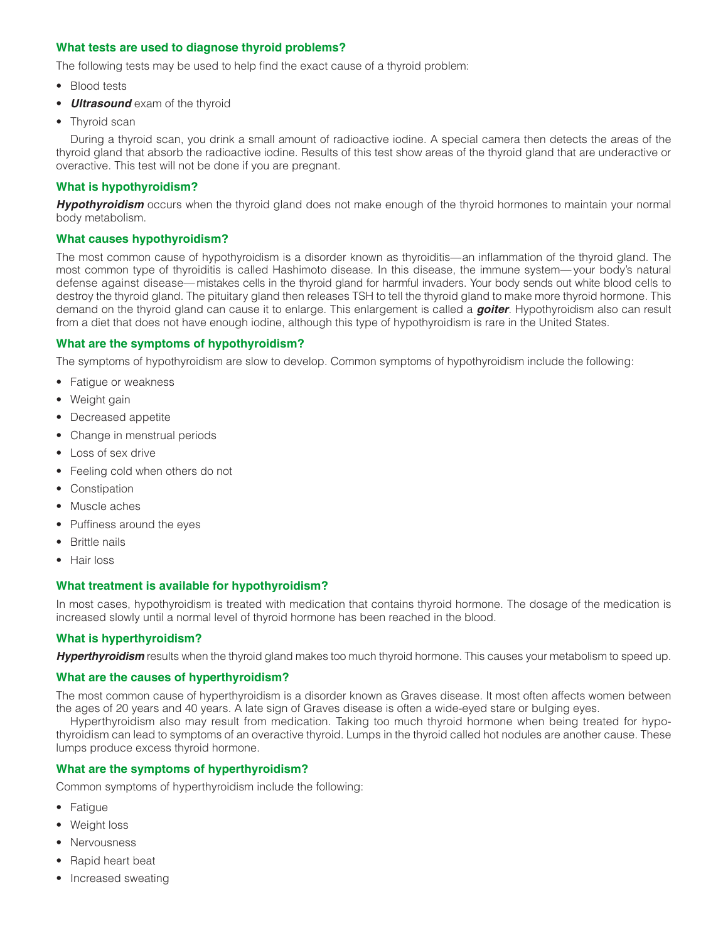## <span id="page-1-0"></span>**What tests are used to diagnose thyroid problems?**

The following tests may be used to help find the exact cause of a thyroid problem:

- Blood tests
- *Ultrasound* exam of the thyroid
- Thyroid scan

During a thyroid scan, you drink a small amount of radioactive iodine. A special camera then detects the areas of the thyroid gland that absorb the radioactive iodine. Results of this test show areas of the thyroid gland that are underactive or overactive. This test will not be done if you are pregnant.

## <span id="page-1-1"></span>**What is hypothyroidism?**

*Hypothyroidism* occurs when the thyroid gland does not make enough of the thyroid hormones to maintain your normal body metabolism.

## <span id="page-1-2"></span>**What causes hypothyroidism?**

The most common cause of hypothyroidism is a disorder known as thyroiditis—an inflammation of the thyroid gland. The most common type of thyroiditis is called Hashimoto disease. In this disease, the immune system— your body's natural defense against disease— mistakes cells in the thyroid gland for harmful invaders. Your body sends out white blood cells to destroy the thyroid gland. The pituitary gland then releases TSH to tell the thyroid gland to make more thyroid hormone. This demand on the thyroid gland can cause it to enlarge. This enlargement is called a *goiter*. Hypothyroidism also can result from a diet that does not have enough iodine, although this type of hypothyroidism is rare in the United States.

## <span id="page-1-3"></span>**What are the symptoms of hypothyroidism?**

The symptoms of hypothyroidism are slow to develop. Common symptoms of hypothyroidism include the following:

- Fatigue or weakness
- Weight gain
- Decreased appetite
- Change in menstrual periods
- Loss of sex drive
- Feeling cold when others do not
- Constipation
- Muscle aches
- Puffiness around the eyes
- Brittle nails
- Hair loss

## <span id="page-1-4"></span>**What treatment is available for hypothyroidism?**

In most cases, hypothyroidism is treated with medication that contains thyroid hormone. The dosage of the medication is increased slowly until a normal level of thyroid hormone has been reached in the blood.

## <span id="page-1-5"></span>**What is hyperthyroidism?**

*Hyperthyroidism* results when the thyroid gland makes too much thyroid hormone. This causes your metabolism to speed up.

## <span id="page-1-6"></span>**What are the causes of hyperthyroidism?**

The most common cause of hyperthyroidism is a disorder known as Graves disease. It most often affects women between the ages of 20 years and 40 years. A late sign of Graves disease is often a wide-eyed stare or bulging eyes.

Hyperthyroidism also may result from medication. Taking too much thyroid hormone when being treated for hypothyroidism can lead to symptoms of an overactive thyroid. Lumps in the thyroid called hot nodules are another cause. These lumps produce excess thyroid hormone.

## <span id="page-1-7"></span>**What are the symptoms of hyperthyroidism?**

Common symptoms of hyperthyroidism include the following:

- Fatigue
- Weight loss
- Nervousness
- Rapid heart beat
- Increased sweating